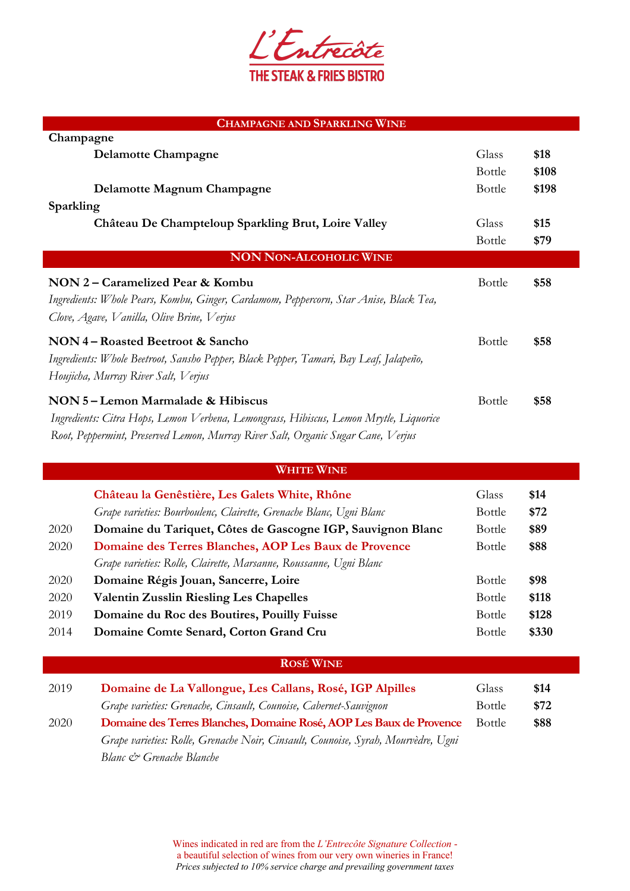

| <b>CHAMPAGNE AND SPARKLING WINE</b>                                                                                                                                                                           |               |       |
|---------------------------------------------------------------------------------------------------------------------------------------------------------------------------------------------------------------|---------------|-------|
| Champagne                                                                                                                                                                                                     |               |       |
| <b>Delamotte Champagne</b>                                                                                                                                                                                    | Glass         | \$18  |
|                                                                                                                                                                                                               | Bottle        | \$108 |
| Delamotte Magnum Champagne                                                                                                                                                                                    | Bottle        | \$198 |
| Sparkling                                                                                                                                                                                                     |               |       |
| Château De Champteloup Sparkling Brut, Loire Valley                                                                                                                                                           | Glass         | \$15  |
|                                                                                                                                                                                                               | Bottle        | \$79  |
| <b>NON NON-ALCOHOLIC WINE</b>                                                                                                                                                                                 |               |       |
| NON 2 – Caramelized Pear & Kombu<br>Ingredients: Whole Pears, Kombu, Ginger, Cardamom, Peppercorn, Star Anise, Black Tea,<br>Clove, Agave, Vanilla, Olive Brine, Verjus                                       | Bottle        | \$58  |
| NON 4 – Roasted Beetroot & Sancho<br>Ingredients: Whole Beetroot, Sansho Pepper, Black Pepper, Tamari, Bay Leaf, Jalapeño,<br>Houjicha, Murray River Salt, Verjus                                             | Bottle        | \$58  |
| NON 5-Lemon Marmalade & Hibiscus<br>Ingredients: Citra Hops, Lemon Verbena, Lemongrass, Hibiscus, Lemon Mrytle, Liquorice<br>Root, Peppermint, Preserved Lemon, Murray River Salt, Organic Sugar Cane, Verjus | <b>Bottle</b> | \$58  |

| <b>WHITE WINE</b> |                                                                     |               |       |
|-------------------|---------------------------------------------------------------------|---------------|-------|
|                   | Château la Genêstière, Les Galets White, Rhône                      | Glass         | \$14  |
|                   | Grape varieties: Bourboulenc, Clairette, Grenache Blanc, Ugni Blanc | <b>Bottle</b> | \$72  |
| 2020              | Domaine du Tariquet, Côtes de Gascogne IGP, Sauvignon Blanc         | <b>Bottle</b> | \$89  |
| 2020              | Domaine des Terres Blanches, AOP Les Baux de Provence               | <b>Bottle</b> | \$88  |
|                   | Grape varieties: Rolle, Clairette, Marsanne, Roussanne, Ugni Blanc  |               |       |
| 2020              | Domaine Régis Jouan, Sancerre, Loire                                | <b>Bottle</b> | \$98  |
| 2020              | <b>Valentin Zusslin Riesling Les Chapelles</b>                      | <b>Bottle</b> | \$118 |
| 2019              | Domaine du Roc des Boutires, Pouilly Fuisse                         | <b>Bottle</b> | \$128 |
| 2014              | Domaine Comte Senard, Corton Grand Cru                              | <b>Bottle</b> | \$330 |

## **ROSÉ WINE**

| 2019 | Domaine de La Vallongue, Les Callans, Rosé, IGP Alpilles                          | Glass         | \$14 |
|------|-----------------------------------------------------------------------------------|---------------|------|
|      | Grape varieties: Grenache, Cinsault, Counoise, Cabernet-Sauvignon                 | <b>Bottle</b> | \$72 |
| 2020 | Domaine des Terres Blanches, Domaine Rosé, AOP Les Baux de Provence               | <b>Bottle</b> | \$88 |
|      | Grape varieties: Rolle, Grenache Noir, Cinsault, Counoise, Syrah, Mourvèdre, Ugni |               |      |
|      | Blanc & Grenache Blanche                                                          |               |      |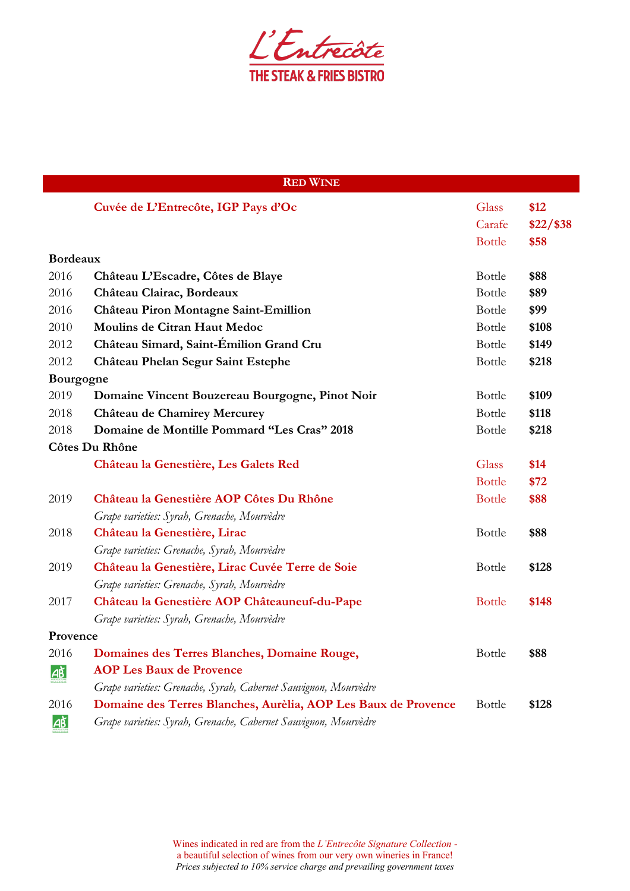

| <b>RED WINE</b>       |                                                                 |               |             |
|-----------------------|-----------------------------------------------------------------|---------------|-------------|
|                       | Cuvée de L'Entrecôte, IGP Pays d'Oc                             | Glass         | \$12        |
|                       |                                                                 | Carafe        | $$22/$ \$38 |
|                       |                                                                 | <b>Bottle</b> | \$58        |
| <b>Bordeaux</b>       |                                                                 |               |             |
| 2016                  | Château L'Escadre, Côtes de Blaye                               | Bottle        | \$88        |
| 2016                  | Château Clairac, Bordeaux                                       | Bottle        | \$89        |
| 2016                  | Château Piron Montagne Saint-Emillion                           | Bottle        | \$99        |
| 2010                  | Moulins de Citran Haut Medoc                                    | Bottle        | \$108       |
| 2012                  | Château Simard, Saint-Émilion Grand Cru                         | Bottle        | \$149       |
| 2012                  | Château Phelan Segur Saint Estephe                              | Bottle        | \$218       |
| Bourgogne             |                                                                 |               |             |
| 2019                  | Domaine Vincent Bouzereau Bourgogne, Pinot Noir                 | <b>Bottle</b> | \$109       |
| 2018                  | Château de Chamirey Mercurey                                    | Bottle        | \$118       |
| 2018                  | Domaine de Montille Pommard "Les Cras" 2018                     | Bottle        | \$218       |
| Côtes Du Rhône        |                                                                 |               |             |
|                       | Château la Genestière, Les Galets Red                           | Glass         | \$14        |
|                       |                                                                 | <b>Bottle</b> | \$72        |
| 2019                  | Château la Genestière AOP Côtes Du Rhône                        | <b>Bottle</b> | \$88        |
|                       | Grape varieties: Syrah, Grenache, Mourvèdre                     |               |             |
| 2018                  | Château la Genestière, Lirac                                    | <b>Bottle</b> | \$88        |
|                       | Grape varieties: Grenache, Syrah, Mourvèdre                     |               |             |
| 2019                  | Château la Genestière, Lirac Cuvée Terre de Soie                | <b>Bottle</b> | \$128       |
|                       | Grape varieties: Grenache, Syrah, Mourvèdre                     |               |             |
| 2017                  | Château la Genestière AOP Châteauneuf-du-Pape                   | <b>Bottle</b> | \$148       |
|                       | Grape varieties: Syrah, Grenache, Mourvèdre                     |               |             |
| Provence              |                                                                 |               |             |
| 2016                  | Domaines des Terres Blanches, Domaine Rouge,                    | Bottle        | \$88        |
| <u>д}</u>             | <b>AOP Les Baux de Provence</b>                                 |               |             |
|                       | Grape varieties: Grenache, Syrah, Cabernet Sauvignon, Mourvèdre |               |             |
| 2016                  | Domaine des Terres Blanches, Aurèlia, AOP Les Baux de Provence  | <b>Bottle</b> | \$128       |
| $\overrightarrow{AB}$ | Grape varieties: Syrah, Grenache, Cabernet Sauvignon, Mourvèdre |               |             |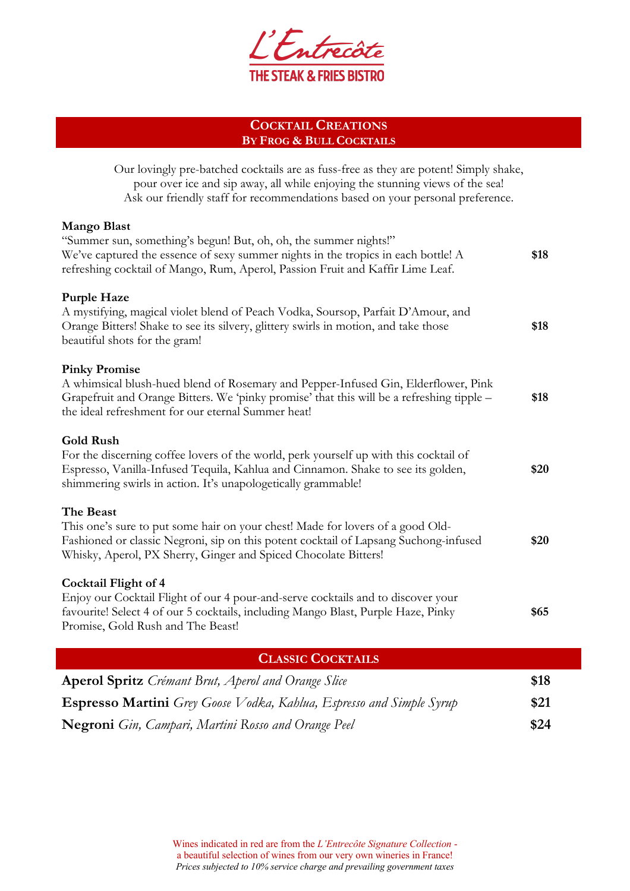

## **COCKTAIL CREATIONS BY FROG & BULL COCKTAILS**

Our lovingly pre-batched cocktails are as fuss-free as they are potent! Simply shake, pour over ice and sip away, all while enjoying the stunning views of the sea! Ask our friendly staff for recommendations based on your personal preference.

## **Mango Blast**

| "Summer sun, something's begun! But, oh, oh, the summer nights!"<br>We've captured the essence of sexy summer nights in the tropics in each bottle! A<br>refreshing cocktail of Mango, Rum, Aperol, Passion Fruit and Kaffir Lime Leaf.                        | \$18 |
|----------------------------------------------------------------------------------------------------------------------------------------------------------------------------------------------------------------------------------------------------------------|------|
| <b>Purple Haze</b><br>A mystifying, magical violet blend of Peach Vodka, Soursop, Parfait D'Amour, and<br>Orange Bitters! Shake to see its silvery, glittery swirls in motion, and take those<br>beautiful shots for the gram!                                 | \$18 |
| <b>Pinky Promise</b><br>A whimsical blush-hued blend of Rosemary and Pepper-Infused Gin, Elderflower, Pink<br>Grapefruit and Orange Bitters. We 'pinky promise' that this will be a refreshing tipple –<br>the ideal refreshment for our eternal Summer heat!  | \$18 |
| <b>Gold Rush</b><br>For the discerning coffee lovers of the world, perk yourself up with this cocktail of<br>Espresso, Vanilla-Infused Tequila, Kahlua and Cinnamon. Shake to see its golden,<br>shimmering swirls in action. It's unapologetically grammable! | \$20 |
| The Beast<br>This one's sure to put some hair on your chest! Made for lovers of a good Old-<br>Fashioned or classic Negroni, sip on this potent cocktail of Lapsang Suchong-infused<br>Whisky, Aperol, PX Sherry, Ginger and Spiced Chocolate Bitters!         | \$20 |
| <b>Cocktail Flight of 4</b><br>Enjoy our Cocktail Flight of our 4 pour-and-serve cocktails and to discover your<br>favourite! Select 4 of our 5 cocktails, including Mango Blast, Purple Haze, Pinky<br>Promise, Gold Rush and The Beast!                      | \$65 |

| <b>CLASSIC COCKTAILS</b>                                                    |      |
|-----------------------------------------------------------------------------|------|
| <b>Aperol Spritz</b> Crémant Brut, Aperol and Orange Slice                  | \$18 |
| <b>Espresso Martini</b> Grey Goose Vodka, Kahlua, Espresso and Simple Syrup | \$21 |
| <b>Negroni</b> Gin, Campari, Martini Rosso and Orange Peel                  | \$24 |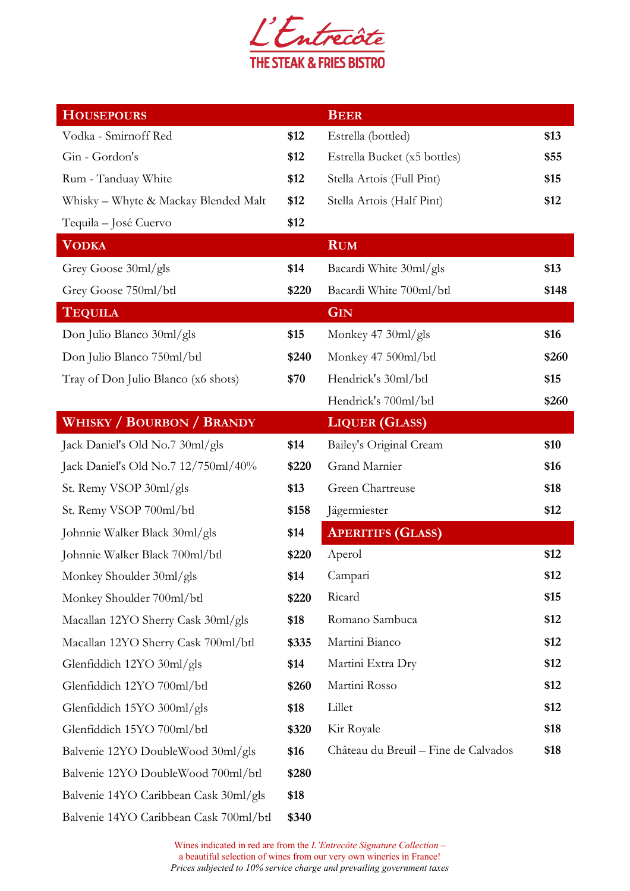

| <b>HOUSEPOURS</b>                      |       | <b>BEER</b>                          |       |
|----------------------------------------|-------|--------------------------------------|-------|
| Vodka - Smirnoff Red                   | \$12  | Estrella (bottled)                   | \$13  |
| Gin - Gordon's                         | \$12  | Estrella Bucket (x5 bottles)         | \$55  |
| Rum - Tanduay White                    | \$12  | Stella Artois (Full Pint)            | \$15  |
| Whisky - Whyte & Mackay Blended Malt   | \$12  | Stella Artois (Half Pint)            | \$12  |
| Tequila – José Cuervo                  | \$12  |                                      |       |
| <b>VODKA</b>                           |       | <b>RUM</b>                           |       |
| Grey Goose 30ml/gls                    | \$14  | Bacardi White 30ml/gls               | \$13  |
| Grey Goose 750ml/btl                   | \$220 | Bacardi White 700ml/btl              | \$148 |
| <b>TEQUILA</b>                         |       | <b>GIN</b>                           |       |
| Don Julio Blanco 30ml/gls              | \$15  | Monkey 47 30ml/gls                   | \$16  |
| Don Julio Blanco 750ml/btl             | \$240 | Monkey 47 500ml/btl                  | \$260 |
| Tray of Don Julio Blanco (x6 shots)    | \$70  | Hendrick's 30ml/btl                  | \$15  |
|                                        |       | Hendrick's 700ml/btl                 | \$260 |
| <b>WHISKY / BOURBON / BRANDY</b>       |       | <b>LIQUER (GLASS)</b>                |       |
| Jack Daniel's Old No.7 30ml/gls        | \$14  | Bailey's Original Cream              | \$10  |
| Jack Daniel's Old No.7 12/750ml/40%    | \$220 | Grand Marnier                        | \$16  |
| St. Remy VSOP 30ml/gls                 | \$13  | Green Chartreuse                     | \$18  |
| St. Remy VSOP 700ml/btl                | \$158 | Jägermiester                         | \$12  |
| Johnnie Walker Black 30ml/gls          | \$14  | <b>APERITIFS (GLASS)</b>             |       |
| Johnnie Walker Black 700ml/btl         | \$220 | Aperol                               | \$12  |
| Monkey Shoulder 30ml/gls               | \$14  | Campari                              | \$12  |
| Monkey Shoulder 700ml/btl              | \$220 | Ricard                               | \$15  |
| Macallan 12YO Sherry Cask 30ml/gls     | \$18  | Romano Sambuca                       | \$12  |
| Macallan 12YO Sherry Cask 700ml/btl    | \$335 | Martini Bianco                       | \$12  |
| Glenfiddich 12YO 30ml/gls              | \$14  | Martini Extra Dry                    | \$12  |
| Glenfiddich 12YO 700ml/btl             | \$260 | Martini Rosso                        | \$12  |
| Glenfiddich 15YO 300ml/gls             | \$18  | Lillet                               | \$12  |
| Glenfiddich 15YO 700ml/btl             | \$320 | Kir Royale                           | \$18  |
| Balvenie 12YO DoubleWood 30ml/gls      | \$16  | Château du Breuil - Fine de Calvados | \$18  |
| Balvenie 12YO DoubleWood 700ml/btl     | \$280 |                                      |       |
| Balvenie 14YO Caribbean Cask 30ml/gls  | \$18  |                                      |       |
| Balvenie 14YO Caribbean Cask 700ml/btl | \$340 |                                      |       |

Wines indicated in red are from the *L'Entrecôte Signature Collection* – a beautiful selection of wines from our very own wineries in France! *Prices subjected to 10% service charge and prevailing government taxes*